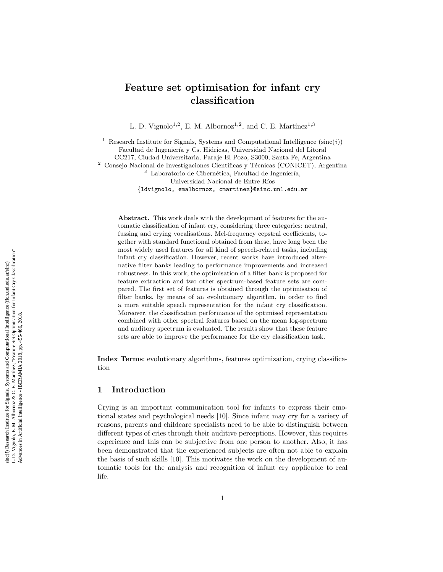# Feature set optimisation for infant cry classification

L. D. Vignolo<sup>1,2</sup>, E. M. Albornoz<sup>1,2</sup>, and C. E. Martínez<sup>1,3</sup>

<sup>1</sup> Research Institute for Signals, Systems and Computational Intelligence  $(\text{sinc}(i))$ Facultad de Ingeniería y Cs. Hídricas, Universidad Nacional del Litoral CC217, Ciudad Universitaria, Paraje El Pozo, S3000, Santa Fe, Argentina  $^2$  Consejo Nacional de Investigaciones Científicas y Técnicas (CONICET), Argentina  $3$  Laboratorio de Cibernética, Facultad de Ingeniería, Universidad Nacional de Entre Ríos {ldvignolo, emalbornoz, cmartinez }@sinc.unl.edu.ar

Abstract. This work deals with the development of features for the automatic classification of infant cry, considering three categories: neutral, fussing and crying vocalisations. Mel-frequency cepstral coefficients, together with standard functional obtained from these, have long been the most widely used features for all kind of speech-related tasks, including infant cry classification. However, recent works have introduced alternative filter banks leading to performance improvements and increased robustness. In this work, the optimisation of a filter bank is proposed for feature extraction and two other spectrum-based feature sets are compared. The first set of features is obtained through the optimisation of filter banks, by means of an evolutionary algorithm, in order to find a more suitable speech representation for the infant cry classification. Moreover, the classification performance of the optimised representation combined with other spectral features based on the mean log-spectrum and auditory spectrum is evaluated. The results show that these feature sets are able to improve the performance for the cry classification task.

Index Terms: evolutionary algorithms, features optimization, crying classification

# 1 Introduction

Crying is an important communication tool for infants to express their emotional states and psychological needs [10]. Since infant may cry for a variety of reasons, parents and childcare specialists need to be able to distinguish between different types of cries through their auditive perceptions. However, this requires experience and this can be subjective from one person to another. Also, it has been demonstrated that the experienced subjects are often not able to explain the basis of such skills [10]. This motivates the work on the development of automatic tools for the analysis and recognition of infant cry applicable to real life.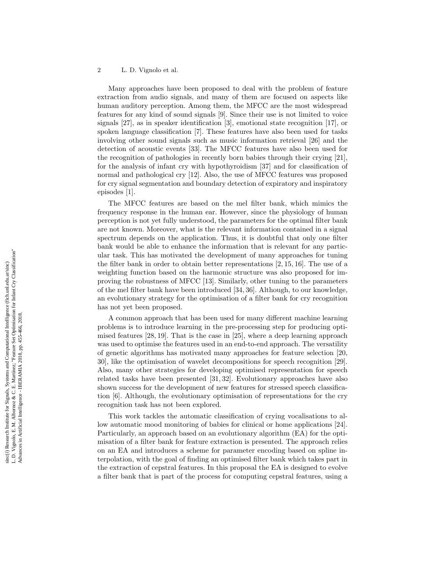Many approaches have been proposed to deal with the problem of feature extraction from audio signals, and many of them are focused on aspects like human auditory perception. Among them, the MFCC are the most widespread features for any kind of sound signals [9]. Since their use is not limited to voice signals [27], as in speaker identification [3], emotional state recognition [17], or spoken language classification [7]. These features have also been used for tasks involving other sound signals such as music information retrieval [26] and the detection of acoustic events [33]. The MFCC features have also been used for the recognition of pathologies in recently born babies through their crying [21], for the analysis of infant cry with hypothyroidism [37] and for classification of normal and pathological cry [12]. Also, the use of MFCC features was proposed for cry signal segmentation and boundary detection of expiratory and inspiratory episodes [1].

The MFCC features are based on the mel filter bank, which mimics the frequency response in the human ear. However, since the physiology of human perception is not yet fully understood, the parameters for the optimal filter bank are not known. Moreover, what is the relevant information contained in a signal spectrum depends on the application. Thus, it is doubtful that only one filter bank would be able to enhance the information that is relevant for any particular task. This has motivated the development of many approaches for tuning the filter bank in order to obtain better representations [2, 15, 16]. The use of a weighting function based on the harmonic structure was also proposed for improving the robustness of MFCC [13]. Similarly, other tuning to the parameters of the mel filter bank have been introduced [34, 36]. Although, to our knowledge, an evolutionary strategy for the optimisation of a filter bank for cry recognition has not yet been proposed.

A common approach that has been used for many different machine learning problems is to introduce learning in the pre-processing step for producing optimised features [28, 19]. That is the case in [25], where a deep learning approach was used to optimise the features used in an end-to-end approach. The versatility of genetic algorithms has motivated many approaches for feature selection [20, 30], like the optimisation of wavelet decompositions for speech recognition [29]. Also, many other strategies for developing optimised representation for speech related tasks have been presented [31, 32]. Evolutionary approaches have also shown success for the development of new features for stressed speech classification [6]. Although, the evolutionary optimisation of representations for the cry recognition task has not been explored.

This work tackles the automatic classification of crying vocalisations to allow automatic mood monitoring of babies for clinical or home applications [24]. Particularly, an approach based on an evolutionary algorithm (EA) for the optimisation of a filter bank for feature extraction is presented. The approach relies on an EA and introduces a scheme for parameter encoding based on spline interpolation, with the goal of finding an optimised filter bank which takes part in the extraction of cepstral features. In this proposal the EA is designed to evolve a filter bank that is part of the process for computing cepstral features, using a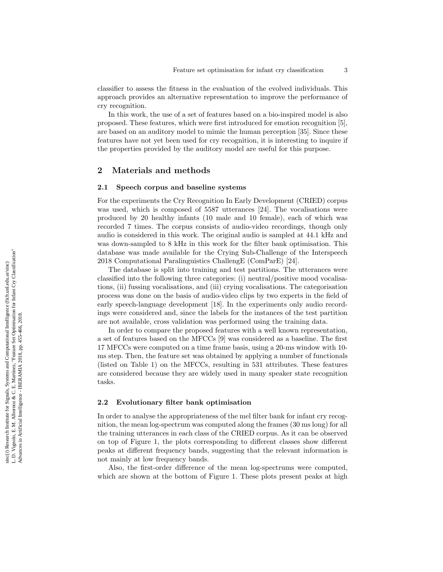classifier to assess the fitness in the evaluation of the evolved individuals. This approach provides an alternative representation to improve the performance of cry recognition.

In this work, the use of a set of features based on a bio-inspired model is also proposed. These features, which were first introduced for emotion recognition [5], are based on an auditory model to mimic the human perception [35]. Since these features have not yet been used for cry recognition, it is interesting to inquire if the properties provided by the auditory model are useful for this purpose.

# 2 Materials and methods

## 2.1 Speech corpus and baseline systems

For the experiments the Cry Recognition In Early Development (CRIED) corpus was used, which is composed of 5587 utterances [24]. The vocalisations were produced by 20 healthy infants (10 male and 10 female), each of which was recorded 7 times. The corpus consists of audio-video recordings, though only audio is considered in this work. The original audio is sampled at 44.1 kHz and was down-sampled to 8 kHz in this work for the filter bank optimisation. This database was made available for the Crying Sub-Challenge of the Interspeech 2018 Computational Paralinguistics ChallengE (ComParE) [24].

The database is split into training and test partitions. The utterances were classified into the following three categories: (i) neutral/positive mood vocalisations, (ii) fussing vocalisations, and (iii) crying vocalisations. The categorisation process was done on the basis of audio-video clips by two experts in the field of early speech-language development [18]. In the experiments only audio recordings were considered and, since the labels for the instances of the test partition are not available, cross validation was performed using the training data.

In order to compare the proposed features with a well known representation, a set of features based on the MFCCs [9] was considered as a baseline. The first 17 MFCCs were computed on a time frame basis, using a 20-ms window with 10 ms step. Then, the feature set was obtained by applying a number of functionals (listed on Table 1) on the MFCCs, resulting in 531 attributes. These features are considered because they are widely used in many speaker state recognition tasks.

## 2.2 Evolutionary filter bank optimisation

In order to analyse the appropriateness of the mel filter bank for infant cry recognition, the mean log-spectrum was computed along the frames (30 ms long) for all the training utterances in each class of the CRIED corpus. As it can be observed on top of Figure 1, the plots corresponding to different classes show different peaks at different frequency bands, suggesting that the relevant information is not mainly at low frequency bands.

Also, the first-order difference of the mean log-spectrums were computed, which are shown at the bottom of Figure 1. These plots present peaks at high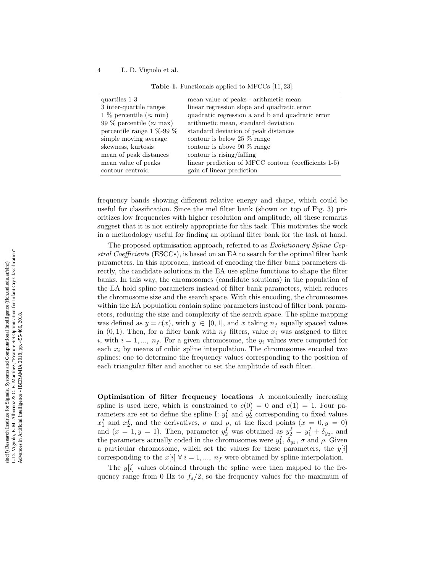| quartiles 1-3                    | mean value of peaks - arithmetic mean                |
|----------------------------------|------------------------------------------------------|
| 3 inter-quartile ranges          | linear regression slope and quadratic error          |
| 1 % percentile ( $\approx$ min)  | quadratic regression a and b and quadratic error     |
| 99 % percentile ( $\approx$ max) | arithmetic mean, standard deviation                  |
| percentile range $1\%$ -99 $\%$  | standard deviation of peak distances                 |
| simple moving average            | contour is below 25 $\%$ range                       |
| skewness, kurtosis               | contour is above 90 $\%$ range                       |
| mean of peak distances           | contour is rising/falling                            |
| mean value of peaks              | linear prediction of MFCC contour (coefficients 1-5) |
| contour centroid                 | gain of linear prediction                            |

|  | <b>Table 1.</b> Functionals applied to MFCCs $[11, 23]$ . |  |  |  |  |
|--|-----------------------------------------------------------|--|--|--|--|
|--|-----------------------------------------------------------|--|--|--|--|

frequency bands showing different relative energy and shape, which could be useful for classification. Since the mel filter bank (shown on top of Fig. 3) prioritizes low frequencies with higher resolution and amplitude, all these remarks suggest that it is not entirely appropriate for this task. This motivates the work in a methodology useful for finding an optimal filter bank for the task at hand.

The proposed optimisation approach, referred to as Evolutionary Spline Cepstral Coefficients (ESCCs), is based on an EA to search for the optimal filter bank parameters. In this approach, instead of encoding the filter bank parameters directly, the candidate solutions in the EA use spline functions to shape the filter banks. In this way, the chromosomes (candidate solutions) in the population of the EA hold spline parameters instead of filter bank parameters, which reduces the chromosome size and the search space. With this encoding, the chromosomes within the EA population contain spline parameters instead of filter bank parameters, reducing the size and complexity of the search space. The spline mapping was defined as  $y = c(x)$ , with  $y \in [0, 1]$ , and x taking  $n_f$  equally spaced values in  $(0,1)$ . Then, for a filter bank with  $n_f$  filters, value  $x_i$  was assigned to filter i, with  $i = 1, ..., n<sub>f</sub>$ . For a given chromosome, the  $y<sub>i</sub>$  values were computed for each  $x_i$  by means of cubic spline interpolation. The chromosomes encoded two splines: one to determine the frequency values corresponding to the position of each triangular filter and another to set the amplitude of each filter.

Optimisation of filter frequency locations A monotonically increasing spline is used here, which is constrained to  $c(0) = 0$  and  $c(1) = 1$ . Four parameters are set to define the spline I:  $y_1^I$  and  $y_2^I$  corresponding to fixed values  $x_1^I$  and  $x_2^I$ , and the derivatives,  $\sigma$  and  $\rho$ , at the fixed points  $(x = 0, y = 0)$ and  $(x = 1, y = 1)$ . Then, parameter  $y_2^I$  was obtained as  $y_2^I = y_1^I + \delta_{y_2}$ , and the parameters actually coded in the chromosomes were  $y_1^I$ ,  $\delta_{y_2}$ ,  $\sigma$  and  $\rho$ . Given a particular chromosome, which set the values for these parameters, the  $y[i]$ corresponding to the  $x[i] \forall i = 1, ..., n_f$  were obtained by spline interpolation.

The  $y[i]$  values obtained through the spline were then mapped to the frequency range from 0 Hz to  $f_s/2$ , so the frequency values for the maximum of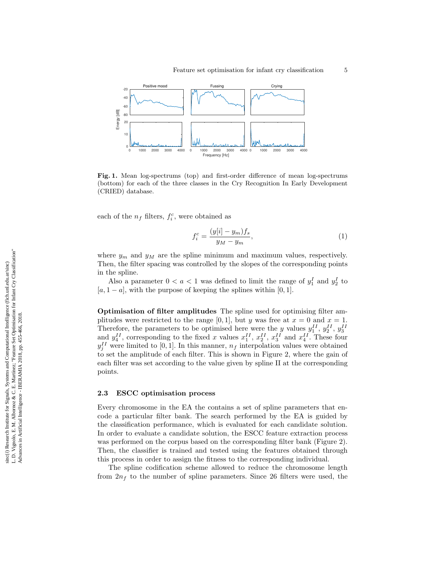

Fig. 1. Mean log-spectrums (top) and first-order difference of mean log-spectrums (bottom) for each of the three classes in the Cry Recognition In Early Development (CRIED) database.

each of the  $n_f$  filters,  $f_i^c$ , were obtained as

$$
f_i^c = \frac{(y[i] - y_m)f_s}{y_M - y_m},\tag{1}
$$

where  $y_m$  and  $y_M$  are the spline minimum and maximum values, respectively. Then, the filter spacing was controlled by the slopes of the corresponding points in the spline.

Also a parameter  $0 < a < 1$  was defined to limit the range of  $y_1^I$  and  $y_2^I$  to  $[a, 1 - a]$ , with the purpose of keeping the splines within [0, 1].

Optimisation of filter amplitudes The spline used for optimising filter amplitudes were restricted to the range [0, 1], but y was free at  $x = 0$  and  $x = 1$ . Therefore, the parameters to be optimised here were the y values  $y_1^{II}$ ,  $y_2^{II}$ ,  $y_3^{II}$  and  $y_4^{II}$ , corresponding to the fixed x values  $x_1^{II}$ ,  $x_2^{II}$ ,  $x_3^{II}$  and  $x_4^{II}$ . These four  $y_j^{II}$  were limited to [0, 1]. In this manner,  $n_f$  interpolation values were obtained to set the amplitude of each filter. This is shown in Figure 2, where the gain of each filter was set according to the value given by spline II at the corresponding points.

## 2.3 ESCC optimisation process

Every chromosome in the EA the contains a set of spline parameters that encode a particular filter bank. The search performed by the EA is guided by the classification performance, which is evaluated for each candidate solution. In order to evaluate a candidate solution, the ESCC feature extraction process was performed on the corpus based on the corresponding filter bank (Figure 2). Then, the classifier is trained and tested using the features obtained through this process in order to assign the fitness to the corresponding individual.

The spline codification scheme allowed to reduce the chromosome length from  $2n_f$  to the number of spline parameters. Since 26 filters were used, the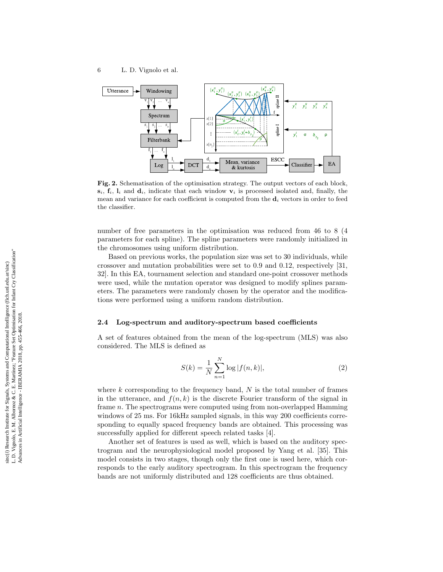

Fig. 2. Schematisation of the optimisation strategy. The output vectors of each block,  $s_i$ ,  $f_i$ ,  $l_i$  and  $d_i$ , indicate that each window  $v_i$  is processed isolated and, finally, the mean and variance for each coefficient is computed from the  $\mathbf{d}_i$  vectors in order to feed the classifier.

number of free parameters in the optimisation was reduced from 46 to 8 (4 parameters for each spline). The spline parameters were randomly initialized in the chromosomes using uniform distribution.

Based on previous works, the population size was set to 30 individuals, while crossover and mutation probabilities were set to 0.9 and 0.12, respectively [31, 32]. In this EA, tournament selection and standard one-point crossover methods were used, while the mutation operator was designed to modify splines parameters. The parameters were randomly chosen by the operator and the modifications were performed using a uniform random distribution.

## 2.4 Log-spectrum and auditory-spectrum based coefficients

A set of features obtained from the mean of the log-spectrum (MLS) was also considered. The MLS is defined as

$$
S(k) = \frac{1}{N} \sum_{n=1}^{N} \log |f(n, k)|,
$$
\n(2)

where  $k$  corresponding to the frequency band,  $N$  is the total number of frames in the utterance, and  $f(n, k)$  is the discrete Fourier transform of the signal in frame n. The spectrograms were computed using from non-overlapped Hamming windows of 25 ms. For 16kHz sampled signals, in this way 200 coefficients corresponding to equally spaced frequency bands are obtained. This processing was successfully applied for different speech related tasks [4].

Another set of features is used as well, which is based on the auditory spectrogram and the neurophysiological model proposed by Yang et al. [35]. This model consists in two stages, though only the first one is used here, which corresponds to the early auditory spectrogram. In this spectrogram the frequency bands are not uniformly distributed and 128 coefficients are thus obtained.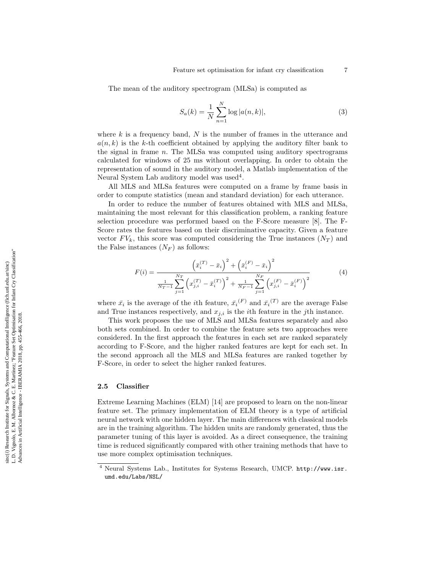The mean of the auditory spectrogram (MLSa) is computed as

$$
S_a(k) = \frac{1}{N} \sum_{n=1}^{N} \log |a(n, k)|,
$$
\n(3)

where  $k$  is a frequency band,  $N$  is the number of frames in the utterance and  $a(n, k)$  is the k-th coefficient obtained by applying the auditory filter bank to the signal in frame n. The MLSa was computed using auditory spectrograms calculated for windows of 25 ms without overlapping. In order to obtain the representation of sound in the auditory model, a Matlab implementation of the Neural System Lab auditory model was used<sup>4</sup>.

All MLS and MLSa features were computed on a frame by frame basis in order to compute statistics (mean and standard deviation) for each utterance.

In order to reduce the number of features obtained with MLS and MLSa, maintaining the most relevant for this classification problem, a ranking feature selection procedure was performed based on the F-Score measure [8]. The F-Score rates the features based on their discriminative capacity. Given a feature vector  $FV_k$ , this score was computed considering the True instances  $(N_T)$  and the False instances  $(N_F)$  as follows:

$$
F(i) = \frac{\left(\bar{x}_i^{(T)} - \bar{x}_i\right)^2 + \left(\bar{x}_i^{(F)} - \bar{x}_i\right)^2}{\frac{1}{N_T - 1} \sum_{j=1}^{N_T} \left(x_{j,i}^{(T)} - \bar{x}_i^{(T)}\right)^2 + \frac{1}{N_F - 1} \sum_{j=1}^{N_F} \left(x_{j,i}^{(F)} - \bar{x}_i^{(F)}\right)^2}
$$
(4)

where  $\bar{x}_i$  is the average of the *i*<sup>th</sup> feature,  $\bar{x}_i^{(F)}$  and  $\bar{x}_i^{(T)}$  are the average False and True instances respectively, and  $x_{j,i}$  is the *i*<sup>th</sup> feature in the *j*<sup>th</sup> instance.

This work proposes the use of MLS and MLSa features separately and also both sets combined. In order to combine the feature sets two approaches were considered. In the first approach the features in each set are ranked separately according to F-Score, and the higher ranked features are kept for each set. In the second approach all the MLS and MLSa features are ranked together by F-Score, in order to select the higher ranked features.

## 2.5 Classifier

Extreme Learning Machines (ELM) [14] are proposed to learn on the non-linear feature set. The primary implementation of ELM theory is a type of artificial neural network with one hidden layer. The main differences with classical models are in the training algorithm. The hidden units are randomly generated, thus the parameter tuning of this layer is avoided. As a direct consequence, the training time is reduced significantly compared with other training methods that have to use more complex optimisation techniques.

<sup>4</sup> Neural Systems Lab., Institutes for Systems Research, UMCP. http://www.isr. umd.edu/Labs/NSL/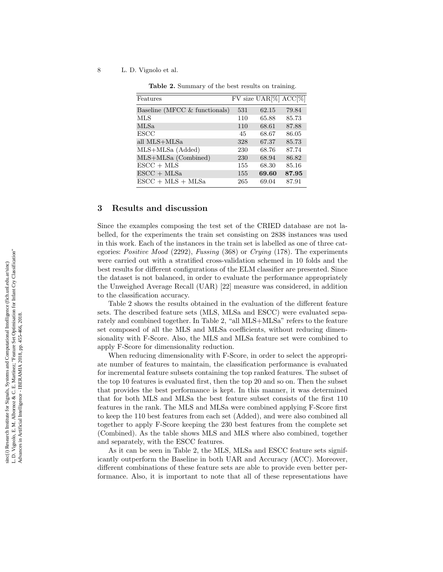| Features                                 |     | $\overline{\text{FV}}$ size $\text{UAR}[\%]$ $\overline{\text{ACC}}[\%]$ |       |
|------------------------------------------|-----|--------------------------------------------------------------------------|-------|
| Baseline (MFCC $&$ functionals)          | 531 | 62.15                                                                    | 79.84 |
| <b>MLS</b>                               | 110 | 65.88                                                                    | 85.73 |
| MLSa                                     | 110 | 68.61                                                                    | 87.88 |
| <b>ESCC</b>                              | 45  | 68.67                                                                    | 86.05 |
| all MLS+MLSa                             | 328 | 67.37                                                                    | 85.73 |
| MLS+MLSa (Added)                         | 230 | 68.76                                                                    | 87.74 |
| MLS+MLSa (Combined)                      | 230 | 68.94                                                                    | 86.82 |
| $\text{ESCC} + \text{MLS}$               | 155 | 68.30                                                                    | 85.16 |
| $\text{ESCC} + \text{MLSa}$              | 155 | 69.60                                                                    | 87.95 |
| $\text{ESCC} + \text{MLS} + \text{MLSa}$ | 265 | 69.04                                                                    | 87.91 |

Table 2. Summary of the best results on training.

# 3 Results and discussion

Since the examples composing the test set of the CRIED database are not labelled, for the experiments the train set consisting on 2838 instances was used in this work. Each of the instances in the train set is labelled as one of three categories: Positive Mood (2292), Fussing (368) or Crying (178). The experiments were carried out with a stratified cross-validation schemed in 10 folds and the best results for different configurations of the ELM classifier are presented. Since the dataset is not balanced, in order to evaluate the performance appropriately the Unweighed Average Recall (UAR) [22] measure was considered, in addition to the classification accuracy.

Table 2 shows the results obtained in the evaluation of the different feature sets. The described feature sets (MLS, MLSa and ESCC) were evaluated separately and combined together. In Table 2, "all MLS+MLSa" refers to the feature set composed of all the MLS and MLSa coefficients, without reducing dimensionality with F-Score. Also, the MLS and MLSa feature set were combined to apply F-Score for dimensionality reduction.

When reducing dimensionality with F-Score, in order to select the appropriate number of features to maintain, the classification performance is evaluated for incremental feature subsets containing the top ranked features. The subset of the top 10 features is evaluated first, then the top 20 and so on. Then the subset that provides the best performance is kept. In this manner, it was determined that for both MLS and MLSa the best feature subset consists of the first 110 features in the rank. The MLS and MLSa were combined applying F-Score first to keep the 110 best features from each set (Added), and were also combined all together to apply F-Score keeping the 230 best features from the complete set (Combined). As the table shows MLS and MLS where also combined, together and separately, with the ESCC features.

As it can be seen in Table 2, the MLS, MLSa and ESCC feature sets significantly outperform the Baseline in both UAR and Accuracy (ACC). Moreover, different combinations of these feature sets are able to provide even better performance. Also, it is important to note that all of these representations have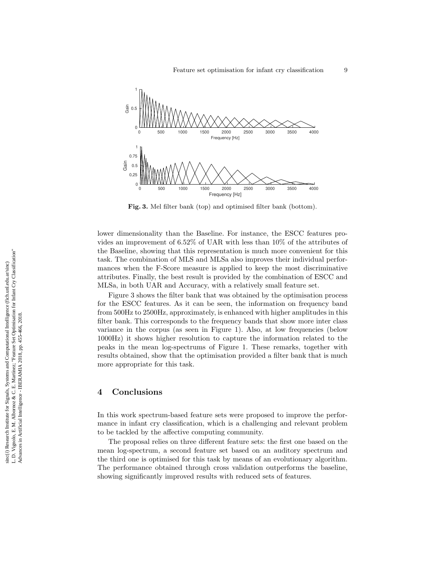

Fig. 3. Mel filter bank (top) and optimised filter bank (bottom).

lower dimensionality than the Baseline. For instance, the ESCC features provides an improvement of 6.52% of UAR with less than 10% of the attributes of the Baseline, showing that this representation is much more convenient for this task. The combination of MLS and MLSa also improves their individual performances when the F-Score measure is applied to keep the most discriminative attributes. Finally, the best result is provided by the combination of ESCC and MLSa, in both UAR and Accuracy, with a relatively small feature set.

Figure 3 shows the filter bank that was obtained by the optimisation process for the ESCC features. As it can be seen, the information on frequency band from 500Hz to 2500Hz, approximately, is enhanced with higher amplitudes in this filter bank. This corresponds to the frequency bands that show more inter class variance in the corpus (as seen in Figure 1). Also, at low frequencies (below 1000Hz) it shows higher resolution to capture the information related to the peaks in the mean log-spectrums of Figure 1. These remarks, together with results obtained, show that the optimisation provided a filter bank that is much more appropriate for this task.

# 4 Conclusions

In this work spectrum-based feature sets were proposed to improve the performance in infant cry classification, which is a challenging and relevant problem to be tackled by the affective computing community.

The proposal relies on three different feature sets: the first one based on the mean log-spectrum, a second feature set based on an auditory spectrum and the third one is optimised for this task by means of an evolutionary algorithm. The performance obtained through cross validation outperforms the baseline, showing significantly improved results with reduced sets of features.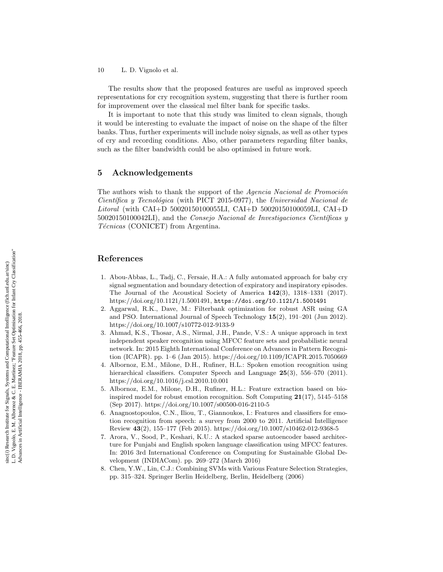The results show that the proposed features are useful as improved speech representations for cry recognition system, suggesting that there is further room for improvement over the classical mel filter bank for specific tasks.

It is important to note that this study was limited to clean signals, though it would be interesting to evaluate the impact of noise on the shape of the filter banks. Thus, further experiments will include noisy signals, as well as other types of cry and recording conditions. Also, other parameters regarding filter banks, such as the filter bandwidth could be also optimised in future work.

# 5 Acknowledgements

The authors wish to thank the support of the Agencia Nacional de Promoción  $Científica y Tecnológica (with PICT 2015-0977), the Universal Nacional de$ Litoral (with CAI+D 50020150100055LI, CAI+D 50020150100059LI, CAI+D  $50020150100042LI$ , and the *Consejo Nacional de Investigaciones Científicas y* Técnicas (CONICET) from Argentina.

# References

- 1. Abou-Abbas, L., Tadj, C., Fersaie, H.A.: A fully automated approach for baby cry signal segmentation and boundary detection of expiratory and inspiratory episodes. The Journal of the Acoustical Society of America 142(3), 1318–1331 (2017). https://doi.org/10.1121/1.5001491, https://doi.org/10.1121/1.5001491
- 2. Aggarwal, R.K., Dave, M.: Filterbank optimization for robust ASR using GA and PSO. International Journal of Speech Technology 15(2), 191–201 (Jun 2012). https://doi.org/10.1007/s10772-012-9133-9
- 3. Ahmad, K.S., Thosar, A.S., Nirmal, J.H., Pande, V.S.: A unique approach in text independent speaker recognition using MFCC feature sets and probabilistic neural network. In: 2015 Eighth International Conference on Advances in Pattern Recognition (ICAPR). pp. 1–6 (Jan 2015). https://doi.org/10.1109/ICAPR.2015.7050669
- 4. Albornoz, E.M., Milone, D.H., Rufiner, H.L.: Spoken emotion recognition using hierarchical classifiers. Computer Speech and Language  $25(3)$ , 556–570 (2011). https://doi.org/10.1016/j.csl.2010.10.001
- 5. Albornoz, E.M., Milone, D.H., Rufiner, H.L.: Feature extraction based on bioinspired model for robust emotion recognition. Soft Computing  $21(17)$ , 5145–5158 (Sep 2017). https://doi.org/10.1007/s00500-016-2110-5
- 6. Anagnostopoulos, C.N., Iliou, T., Giannoukos, I.: Features and classifiers for emotion recognition from speech: a survey from 2000 to 2011. Artificial Intelligence Review 43(2), 155–177 (Feb 2015). https://doi.org/10.1007/s10462-012-9368-5
- 7. Arora, V., Sood, P., Keshari, K.U.: A stacked sparse autoencoder based architecture for Punjabi and English spoken language classification using MFCC features. In: 2016 3rd International Conference on Computing for Sustainable Global Development (INDIACom). pp. 269–272 (March 2016)
- 8. Chen, Y.W., Lin, C.J.: Combining SVMs with Various Feature Selection Strategies, pp. 315–324. Springer Berlin Heidelberg, Berlin, Heidelberg (2006)

L. D. Vignolo, E. M. Albornoz & C. E. Martínez; "Feature Set Optimisation for Infant Cry Classification" L. D. Vignolo, E. M. Albomoz & C. E. Martínez; "Feature Set Optimisation for Infant Cry Classification"<br>Advances in Artificial Intelligence - IBERAMIA 2018, pp. 455-466, 2018. sinc(i) Research Institute for Signals, Systems and Computational Intelligence (fich.unl.edu.ar/sinc) sinc(*i*) Research Institute for Signals, Systems and Computational Intelligence (fich.unl.edu.ar/sinc) Advances in Artificial Intelligence - IBERAMIA 2018, pp. 455-466, 2018.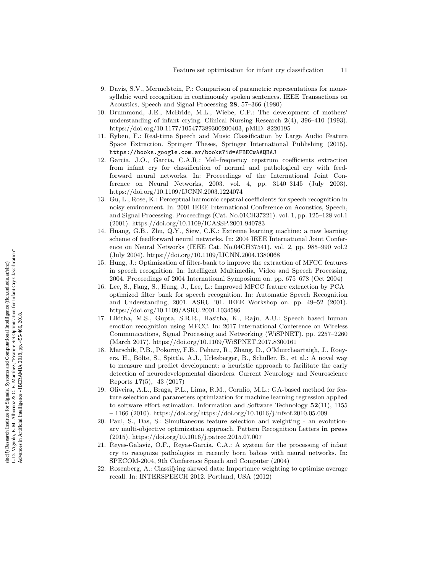- 9. Davis, S.V., Mermelstein, P.: Comparison of parametric representations for monosyllabic word recognition in continuously spoken sentences. IEEE Transactions on Acoustics, Speech and Signal Processing 28, 57–366 (1980)
- 10. Drummond, J.E., McBride, M.L., Wiebe, C.F.: The development of mothers' understanding of infant crying. Clinical Nursing Research 2(4), 396–410 (1993). https://doi.org/10.1177/105477389300200403, pMID: 8220195
- 11. Eyben, F.: Real-time Speech and Music Classification by Large Audio Feature Space Extraction. Springer Theses, Springer International Publishing (2015), https://books.google.com.ar/books?id=AFBECwAAQBAJ
- 12. Garcia, J.O., Garcia, C.A.R.: Mel–frequency cepstrum coefficients extraction from infant cry for classification of normal and pathological cry with feedforward neural networks. In: Proceedings of the International Joint Conference on Neural Networks, 2003. vol. 4, pp. 3140–3145 (July 2003). https://doi.org/10.1109/IJCNN.2003.1224074
- 13. Gu, L., Rose, K.: Perceptual harmonic cepstral coefficients for speech recognition in noisy environment. In: 2001 IEEE International Conference on Acoustics, Speech, and Signal Processing. Proceedings (Cat. No.01CH37221). vol. 1, pp. 125–128 vol.1 (2001). https://doi.org/10.1109/ICASSP.2001.940783
- 14. Huang, G.B., Zhu, Q.Y., Siew, C.K.: Extreme learning machine: a new learning scheme of feedforward neural networks. In: 2004 IEEE International Joint Conference on Neural Networks (IEEE Cat. No.04CH37541). vol. 2, pp. 985–990 vol.2 (July 2004). https://doi.org/10.1109/IJCNN.2004.1380068
- 15. Hung, J.: Optimization of filter-bank to improve the extraction of MFCC features in speech recognition. In: Intelligent Multimedia, Video and Speech Processing, 2004. Proceedings of 2004 International Symposium on. pp. 675–678 (Oct 2004)
- 16. Lee, S., Fang, S., Hung, J., Lee, L.: Improved MFCC feature extraction by PCA– optimized filter–bank for speech recognition. In: Automatic Speech Recognition and Understanding, 2001. ASRU '01. IEEE Workshop on. pp. 49–52 (2001). https://doi.org/10.1109/ASRU.2001.1034586
- 17. Likitha, M.S., Gupta, S.R.R., Hasitha, K., Raju, A.U.: Speech based human emotion recognition using MFCC. In: 2017 International Conference on Wireless Communications, Signal Processing and Networking (WiSPNET). pp. 2257–2260 (March 2017). https://doi.org/10.1109/WiSPNET.2017.8300161
- 18. Marschik, P.B., Pokorny, F.B., Peharz, R., Zhang, D., O'Muircheartaigh, J., Roeyers, H., Bölte, S., Spittle, A.J., Urlesberger, B., Schuller, B., et al.: A novel way to measure and predict development: a heuristic approach to facilitate the early detection of neurodevelopmental disorders. Current Neurology and Neuroscience Reports 17(5), 43 (2017)
- 19. Oliveira, A.L., Braga, P.L., Lima, R.M., Cornlio, M.L.: GA-based method for feature selection and parameters optimization for machine learning regression applied to software effort estimation. Information and Software Technology 52(11), 1155 – 1166 (2010). https://doi.org/https://doi.org/10.1016/j.infsof.2010.05.009
- 20. Paul, S., Das, S.: Simultaneous feature selection and weighting an evolutionary multi-objective optimization approach. Pattern Recognition Letters in press (2015). https://doi.org/10.1016/j.patrec.2015.07.007
- 21. Reyes-Galaviz, O.F., Reyes-Garcia, C.A.: A system for the processing of infant cry to recognize pathologies in recently born babies with neural networks. In: SPECOM-2004, 9th Conference Speech and Computer (2004)
- 22. Rosenberg, A.: Classifying skewed data: Importance weighting to optimize average recall. In: INTERSPEECH 2012. Portland, USA (2012)